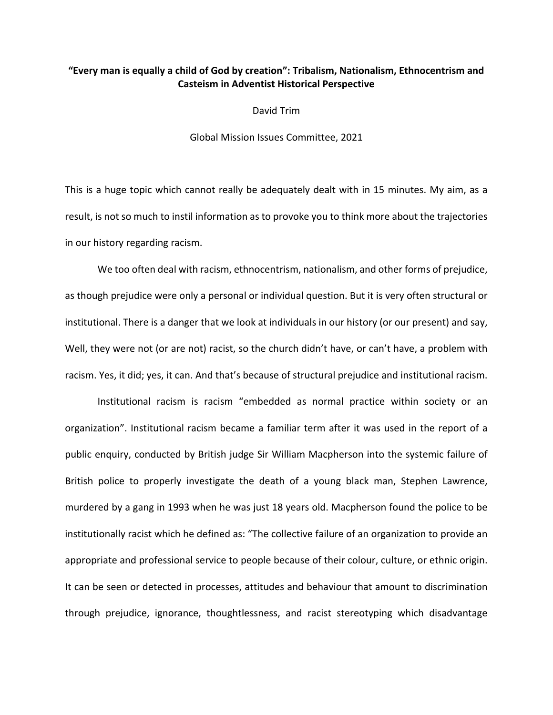## **"Every man is equally a child of God by creation": Tribalism, Nationalism, Ethnocentrism and Casteism in Adventist Historical Perspective**

David Trim

Global Mission Issues Committee, 2021

This is a huge topic which cannot really be adequately dealt with in 15 minutes. My aim, as a result, is not so much to instil information as to provoke you to think more about the trajectories in our history regarding racism.

We too often deal with racism, ethnocentrism, nationalism, and other forms of prejudice, as though prejudice were only a personal or individual question. But it is very often structural or institutional. There is a danger that we look at individuals in our history (or our present) and say, Well, they were not (or are not) racist, so the church didn't have, or can't have, a problem with racism. Yes, it did; yes, it can. And that's because of structural prejudice and institutional racism.

Institutional racism is racism "embedded as normal practice within society or an organization". Institutional racism became a familiar term after it was used in the report of a public enquiry, conducted by British judge Sir William Macpherson into the systemic failure of British police to properly investigate the death of a young black man, Stephen Lawrence, murdered by a gang in 1993 when he was just 18 years old. Macpherson found the police to be institutionally racist which he defined as: "The collective failure of an organization to provide an appropriate and professional service to people because of their colour, culture, or ethnic origin. It can be seen or detected in processes, attitudes and behaviour that amount to discrimination through prejudice, ignorance, thoughtlessness, and racist stereotyping which disadvantage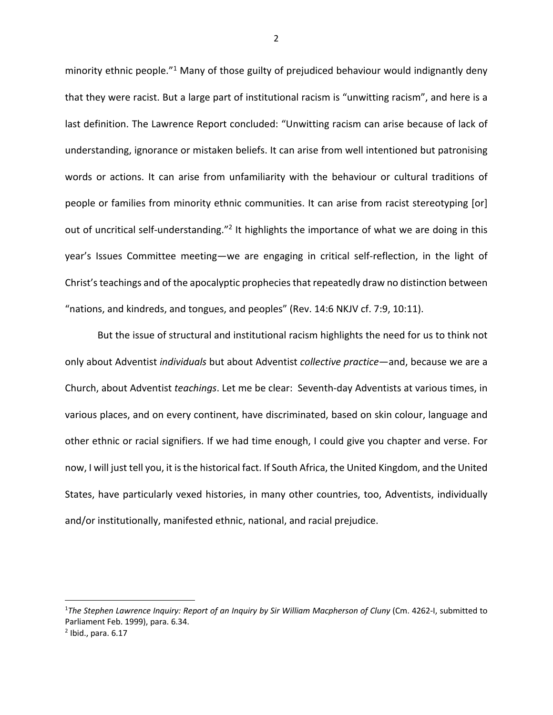minority ethnic people.<sup>"1</sup> Many of those guilty of prejudiced behaviour would indignantly deny that they were racist. But a large part of institutional racism is "unwitting racism", and here is a last definition. The Lawrence Report concluded: "Unwitting racism can arise because of lack of understanding, ignorance or mistaken beliefs. It can arise from well intentioned but patronising words or actions. It can arise from unfamiliarity with the behaviour or cultural traditions of people or families from minority ethnic communities. It can arise from racist stereotyping [or] out of uncritical self-understanding."<sup>2</sup> It highlights the importance of what we are doing in this year's Issues Committee meeting—we are engaging in critical self-reflection, in the light of Christ's teachings and of the apocalyptic prophecies that repeatedly draw no distinction between "nations, and kindreds, and tongues, and peoples" (Rev. 14:6 NKJV cf. 7:9, 10:11).

But the issue of structural and institutional racism highlights the need for us to think not only about Adventist *individuals* but about Adventist *collective practice*—and, because we are a Church, about Adventist *teachings*. Let me be clear: Seventh-day Adventists at various times, in various places, and on every continent, have discriminated, based on skin colour, language and other ethnic or racial signifiers. If we had time enough, I could give you chapter and verse. For now, I will just tell you, it is the historical fact. If South Africa, the United Kingdom, and the United States, have particularly vexed histories, in many other countries, too, Adventists, individually and/or institutionally, manifested ethnic, national, and racial prejudice.

<sup>1</sup> *The Stephen Lawrence Inquiry: Report of an Inquiry by Sir William Macpherson of Cluny* (Cm. 4262-I, submitted to Parliament Feb. 1999), para. 6.34.

 $<sup>2</sup>$  Ibid., para. 6.17</sup>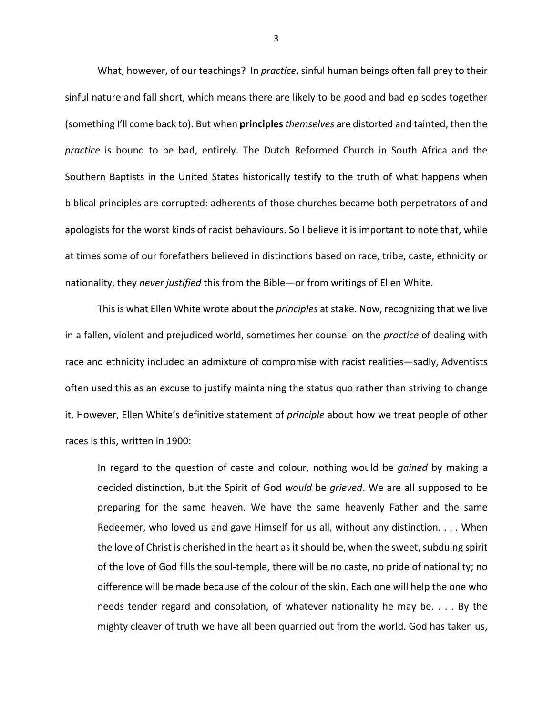What, however, of our teachings? In *practice*, sinful human beings often fall prey to their sinful nature and fall short, which means there are likely to be good and bad episodes together (something I'll come back to). But when **principles***themselves* are distorted and tainted, then the *practice* is bound to be bad, entirely. The Dutch Reformed Church in South Africa and the Southern Baptists in the United States historically testify to the truth of what happens when biblical principles are corrupted: adherents of those churches became both perpetrators of and apologists for the worst kinds of racist behaviours. So I believe it is important to note that, while at times some of our forefathers believed in distinctions based on race, tribe, caste, ethnicity or nationality, they *never justified* this from the Bible—or from writings of Ellen White.

This is what Ellen White wrote about the *principles* at stake. Now, recognizing that we live in a fallen, violent and prejudiced world, sometimes her counsel on the *practice* of dealing with race and ethnicity included an admixture of compromise with racist realities—sadly, Adventists often used this as an excuse to justify maintaining the status quo rather than striving to change it. However, Ellen White's definitive statement of *principle* about how we treat people of other races is this, written in 1900:

In regard to the question of caste and colour, nothing would be *gained* by making a decided distinction, but the Spirit of God *would* be *grieved*. We are all supposed to be preparing for the same heaven. We have the same heavenly Father and the same Redeemer, who loved us and gave Himself for us all, without any distinction. . . . When the love of Christ is cherished in the heart as it should be, when the sweet, subduing spirit of the love of God fills the soul-temple, there will be no caste, no pride of nationality; no difference will be made because of the colour of the skin. Each one will help the one who needs tender regard and consolation, of whatever nationality he may be. . . . By the mighty cleaver of truth we have all been quarried out from the world. God has taken us,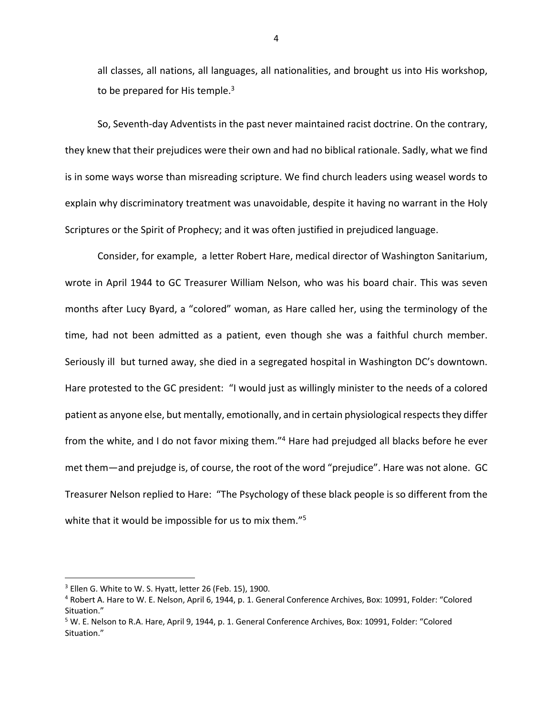all classes, all nations, all languages, all nationalities, and brought us into His workshop, to be prepared for His temple. $3$ 

So, Seventh-day Adventists in the past never maintained racist doctrine. On the contrary, they knew that their prejudices were their own and had no biblical rationale. Sadly, what we find is in some ways worse than misreading scripture. We find church leaders using weasel words to explain why discriminatory treatment was unavoidable, despite it having no warrant in the Holy Scriptures or the Spirit of Prophecy; and it was often justified in prejudiced language.

Consider, for example, a letter Robert Hare, medical director of Washington Sanitarium, wrote in April 1944 to GC Treasurer William Nelson, who was his board chair. This was seven months after Lucy Byard, a "colored" woman, as Hare called her, using the terminology of the time, had not been admitted as a patient, even though she was a faithful church member. Seriously ill but turned away, she died in a segregated hospital in Washington DC's downtown. Hare protested to the GC president: "I would just as willingly minister to the needs of a colored patient as anyone else, but mentally, emotionally, and in certain physiological respects they differ from the white, and I do not favor mixing them."<sup>4</sup> Hare had prejudged all blacks before he ever met them—and prejudge is, of course, the root of the word "prejudice". Hare was not alone. GC Treasurer Nelson replied to Hare: "The Psychology of these black people is so different from the white that it would be impossible for us to mix them."<sup>5</sup>

 $3$  Ellen G. White to W. S. Hyatt, letter 26 (Feb. 15), 1900.

<sup>4</sup> Robert A. Hare to W. E. Nelson, April 6, 1944, p. 1. General Conference Archives, Box: 10991, Folder: "Colored Situation."

<sup>5</sup> W. E. Nelson to R.A. Hare, April 9, 1944, p. 1. General Conference Archives, Box: 10991, Folder: "Colored Situation."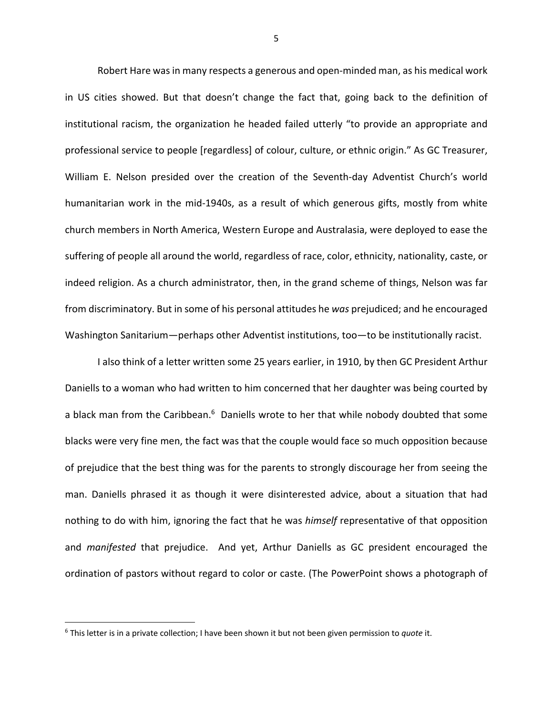Robert Hare was in many respects a generous and open-minded man, as his medical work in US cities showed. But that doesn't change the fact that, going back to the definition of institutional racism, the organization he headed failed utterly "to provide an appropriate and professional service to people [regardless] of colour, culture, or ethnic origin." As GC Treasurer, William E. Nelson presided over the creation of the Seventh-day Adventist Church's world humanitarian work in the mid-1940s, as a result of which generous gifts, mostly from white church members in North America, Western Europe and Australasia, were deployed to ease the suffering of people all around the world, regardless of race, color, ethnicity, nationality, caste, or indeed religion. As a church administrator, then, in the grand scheme of things, Nelson was far from discriminatory. But in some of his personal attitudes he *was* prejudiced; and he encouraged Washington Sanitarium—perhaps other Adventist institutions, too—to be institutionally racist.

I also think of a letter written some 25 years earlier, in 1910, by then GC President Arthur Daniells to a woman who had written to him concerned that her daughter was being courted by a black man from the Caribbean.<sup>6</sup> Daniells wrote to her that while nobody doubted that some blacks were very fine men, the fact was that the couple would face so much opposition because of prejudice that the best thing was for the parents to strongly discourage her from seeing the man. Daniells phrased it as though it were disinterested advice, about a situation that had nothing to do with him, ignoring the fact that he was *himself* representative of that opposition and *manifested* that prejudice. And yet, Arthur Daniells as GC president encouraged the ordination of pastors without regard to color or caste. (The PowerPoint shows a photograph of

<sup>6</sup> This letter is in a private collection; I have been shown it but not been given permission to *quote* it.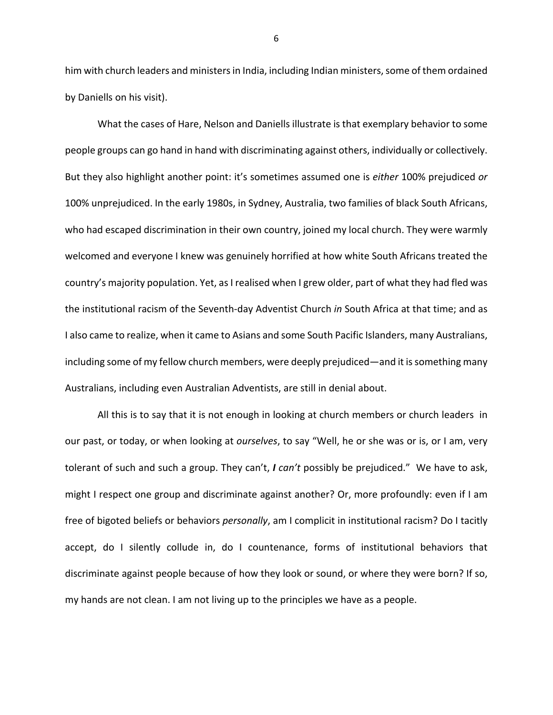him with church leaders and ministers in India, including Indian ministers, some of them ordained by Daniells on his visit).

What the cases of Hare, Nelson and Daniells illustrate is that exemplary behavior to some people groups can go hand in hand with discriminating against others, individually or collectively. But they also highlight another point: it's sometimes assumed one is *either* 100% prejudiced *or* 100% unprejudiced. In the early 1980s, in Sydney, Australia, two families of black South Africans, who had escaped discrimination in their own country, joined my local church. They were warmly welcomed and everyone I knew was genuinely horrified at how white South Africans treated the country's majority population. Yet, as I realised when I grew older, part of what they had fled was the institutional racism of the Seventh-day Adventist Church *in* South Africa at that time; and as I also came to realize, when it came to Asians and some South Pacific Islanders, many Australians, including some of my fellow church members, were deeply prejudiced—and it is something many Australians, including even Australian Adventists, are still in denial about.

All this is to say that it is not enough in looking at church members or church leaders in our past, or today, or when looking at *ourselves*, to say "Well, he or she was or is, or I am, very tolerant of such and such a group. They can't, *I can't* possibly be prejudiced." We have to ask, might I respect one group and discriminate against another? Or, more profoundly: even if I am free of bigoted beliefs or behaviors *personally*, am I complicit in institutional racism? Do I tacitly accept, do I silently collude in, do I countenance, forms of institutional behaviors that discriminate against people because of how they look or sound, or where they were born? If so, my hands are not clean. I am not living up to the principles we have as a people.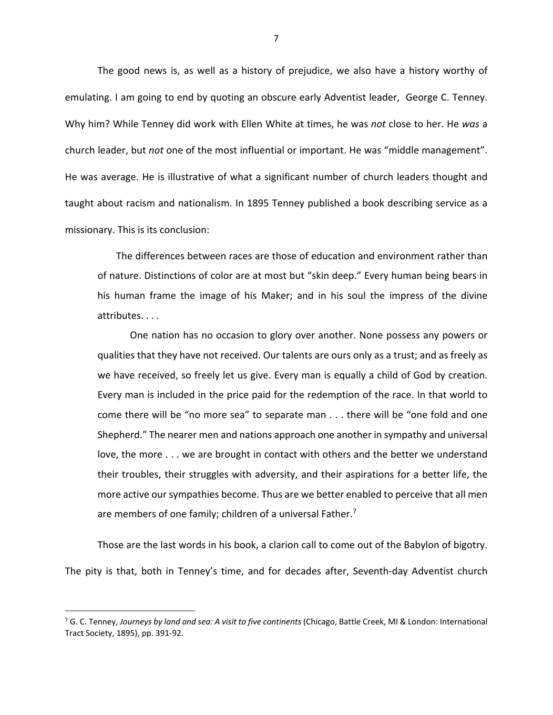The good news is, as well as a history of prejudice, we also have a history worthy of emulating. I am going to end by quoting an obscure early Adventist leader, George C. Tenney. Why him? While Tenney did work with Ellen White at times, he was *not* close to her. He *was* a church leader, but *not* one of the most influential or important. He was "middle management". He was average. He is illustrative of what a significant number of church leaders thought and taught about racism and nationalism. In 1895 Tenney published a book describing service as a missionary. This is its conclusion:

The differences between races are those of education and environment rather than of nature. Distinctions of color are at most but "skin deep." Every human being bears in his human frame the image of his Maker; and in his soul the impress of the divine attributes. . . .

One nation has no occasion to glory over another. None possess any powers or qualities that they have not received. Our talents are ours only as a trust; and as freely as we have received, so freely let us give. Every man is equally a child of God by creation. Every man is included in the price paid for the redemption of the race. In that world to come there will be "no more sea" to separate man . . . there will be "one fold and one Shepherd." The nearer men and nations approach one another in sympathy and universal love, the more . . . we are brought in contact with others and the better we understand their troubles, their struggles with adversity, and their aspirations for a better life, the more active our sympathies become. Thus are we better enabled to perceive that all men are members of one family; children of a universal Father.<sup>7</sup>

Those are the last words in his book, a clarion call to come out of the Babylon of bigotry. The pity is that, both in Tenney's time, and for decades after, Seventh-day Adventist church

<sup>7</sup> G. C. Tenney, *Journeys by land and sea: A visit to five continents* (Chicago, Battle Creek, MI & London: International Tract Society, 1895), pp. 391-92.